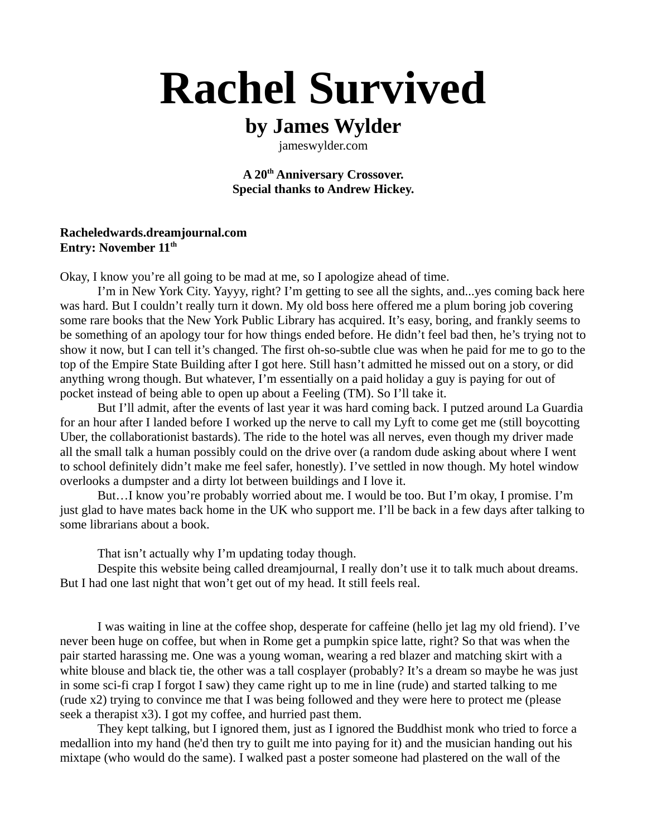# **Rachel Survived**

# **by James Wylder**

jameswylder.com

**A 20th Anniversary Crossover. Special thanks to Andrew Hickey.**

# **Racheledwards.dreamjournal.com Entry: November 11th**

Okay, I know you're all going to be mad at me, so I apologize ahead of time.

I'm in New York City. Yayyy, right? I'm getting to see all the sights, and...yes coming back here was hard. But I couldn't really turn it down. My old boss here offered me a plum boring job covering some rare books that the New York Public Library has acquired. It's easy, boring, and frankly seems to be something of an apology tour for how things ended before. He didn't feel bad then, he's trying not to show it now, but I can tell it's changed. The first oh-so-subtle clue was when he paid for me to go to the top of the Empire State Building after I got here. Still hasn't admitted he missed out on a story, or did anything wrong though. But whatever, I'm essentially on a paid holiday a guy is paying for out of pocket instead of being able to open up about a Feeling (TM). So I'll take it.

But I'll admit, after the events of last year it was hard coming back. I putzed around La Guardia for an hour after I landed before I worked up the nerve to call my Lyft to come get me (still boycotting Uber, the collaborationist bastards). The ride to the hotel was all nerves, even though my driver made all the small talk a human possibly could on the drive over (a random dude asking about where I went to school definitely didn't make me feel safer, honestly). I've settled in now though. My hotel window overlooks a dumpster and a dirty lot between buildings and I love it.

But…I know you're probably worried about me. I would be too. But I'm okay, I promise. I'm just glad to have mates back home in the UK who support me. I'll be back in a few days after talking to some librarians about a book.

That isn't actually why I'm updating today though.

Despite this website being called dreamjournal, I really don't use it to talk much about dreams. But I had one last night that won't get out of my head. It still feels real.

I was waiting in line at the coffee shop, desperate for caffeine (hello jet lag my old friend). I've never been huge on coffee, but when in Rome get a pumpkin spice latte, right? So that was when the pair started harassing me. One was a young woman, wearing a red blazer and matching skirt with a white blouse and black tie, the other was a tall cosplayer (probably? It's a dream so maybe he was just in some sci-fi crap I forgot I saw) they came right up to me in line (rude) and started talking to me (rude x2) trying to convince me that I was being followed and they were here to protect me (please seek a therapist x3). I got my coffee, and hurried past them.

They kept talking, but I ignored them, just as I ignored the Buddhist monk who tried to force a medallion into my hand (he'd then try to guilt me into paying for it) and the musician handing out his mixtape (who would do the same). I walked past a poster someone had plastered on the wall of the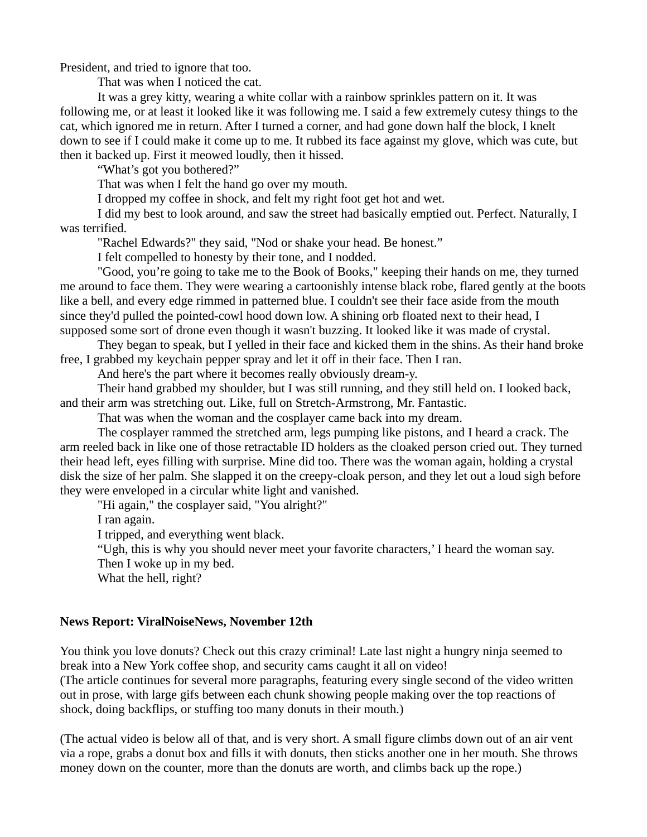President, and tried to ignore that too.

That was when I noticed the cat.

It was a grey kitty, wearing a white collar with a rainbow sprinkles pattern on it. It was following me, or at least it looked like it was following me. I said a few extremely cutesy things to the cat, which ignored me in return. After I turned a corner, and had gone down half the block, I knelt down to see if I could make it come up to me. It rubbed its face against my glove, which was cute, but then it backed up. First it meowed loudly, then it hissed.

"What's got you bothered?"

That was when I felt the hand go over my mouth.

I dropped my coffee in shock, and felt my right foot get hot and wet.

I did my best to look around, and saw the street had basically emptied out. Perfect. Naturally, I was terrified.

"Rachel Edwards?" they said, "Nod or shake your head. Be honest."

I felt compelled to honesty by their tone, and I nodded.

"Good, you're going to take me to the Book of Books," keeping their hands on me, they turned me around to face them. They were wearing a cartoonishly intense black robe, flared gently at the boots like a bell, and every edge rimmed in patterned blue. I couldn't see their face aside from the mouth since they'd pulled the pointed-cowl hood down low. A shining orb floated next to their head, I supposed some sort of drone even though it wasn't buzzing. It looked like it was made of crystal.

They began to speak, but I yelled in their face and kicked them in the shins. As their hand broke free, I grabbed my keychain pepper spray and let it off in their face. Then I ran.

And here's the part where it becomes really obviously dream-y.

Their hand grabbed my shoulder, but I was still running, and they still held on. I looked back, and their arm was stretching out. Like, full on Stretch-Armstrong, Mr. Fantastic.

That was when the woman and the cosplayer came back into my dream.

The cosplayer rammed the stretched arm, legs pumping like pistons, and I heard a crack. The arm reeled back in like one of those retractable ID holders as the cloaked person cried out. They turned their head left, eyes filling with surprise. Mine did too. There was the woman again, holding a crystal disk the size of her palm. She slapped it on the creepy-cloak person, and they let out a loud sigh before they were enveloped in a circular white light and vanished.

"Hi again," the cosplayer said, "You alright?"

I ran again.

I tripped, and everything went black.

"Ugh, this is why you should never meet your favorite characters,' I heard the woman say.

Then I woke up in my bed.

What the hell, right?

# **News Report: ViralNoiseNews, November 12th**

You think you love donuts? Check out this crazy criminal! Late last night a hungry ninja seemed to break into a New York coffee shop, and security cams caught it all on video! (The article continues for several more paragraphs, featuring every single second of the video written out in prose, with large gifs between each chunk showing people making over the top reactions of shock, doing backflips, or stuffing too many donuts in their mouth.)

(The actual video is below all of that, and is very short. A small figure climbs down out of an air vent via a rope, grabs a donut box and fills it with donuts, then sticks another one in her mouth. She throws money down on the counter, more than the donuts are worth, and climbs back up the rope.)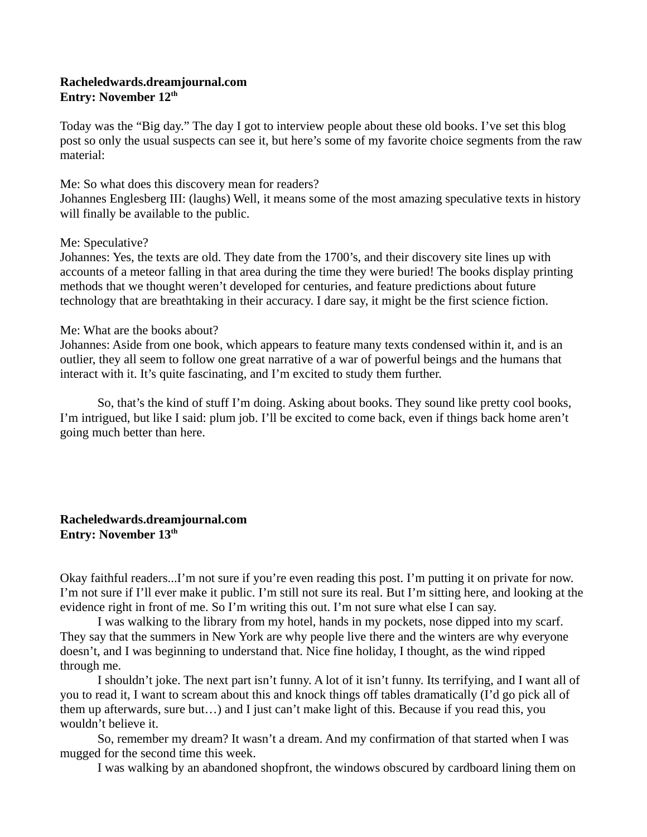# **Racheledwards.dreamjournal.com Entry: November 12th**

Today was the "Big day." The day I got to interview people about these old books. I've set this blog post so only the usual suspects can see it, but here's some of my favorite choice segments from the raw material:

# Me: So what does this discovery mean for readers?

Johannes Englesberg III: (laughs) Well, it means some of the most amazing speculative texts in history will finally be available to the public.

# Me: Speculative?

Johannes: Yes, the texts are old. They date from the 1700's, and their discovery site lines up with accounts of a meteor falling in that area during the time they were buried! The books display printing methods that we thought weren't developed for centuries, and feature predictions about future technology that are breathtaking in their accuracy. I dare say, it might be the first science fiction.

# Me: What are the books about?

Johannes: Aside from one book, which appears to feature many texts condensed within it, and is an outlier, they all seem to follow one great narrative of a war of powerful beings and the humans that interact with it. It's quite fascinating, and I'm excited to study them further.

So, that's the kind of stuff I'm doing. Asking about books. They sound like pretty cool books, I'm intrigued, but like I said: plum job. I'll be excited to come back, even if things back home aren't going much better than here.

# **Racheledwards.dreamjournal.com Entry: November 13th**

Okay faithful readers...I'm not sure if you're even reading this post. I'm putting it on private for now. I'm not sure if I'll ever make it public. I'm still not sure its real. But I'm sitting here, and looking at the evidence right in front of me. So I'm writing this out. I'm not sure what else I can say.

I was walking to the library from my hotel, hands in my pockets, nose dipped into my scarf. They say that the summers in New York are why people live there and the winters are why everyone doesn't, and I was beginning to understand that. Nice fine holiday, I thought, as the wind ripped through me.

I shouldn't joke. The next part isn't funny. A lot of it isn't funny. Its terrifying, and I want all of you to read it, I want to scream about this and knock things off tables dramatically (I'd go pick all of them up afterwards, sure but…) and I just can't make light of this. Because if you read this, you wouldn't believe it.

So, remember my dream? It wasn't a dream. And my confirmation of that started when I was mugged for the second time this week.

I was walking by an abandoned shopfront, the windows obscured by cardboard lining them on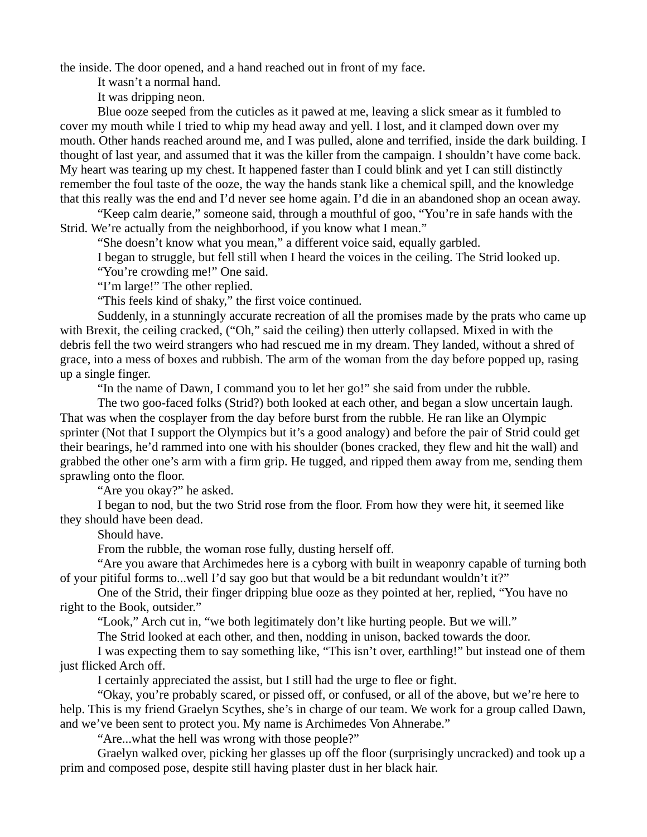the inside. The door opened, and a hand reached out in front of my face.

It wasn't a normal hand.

It was dripping neon.

Blue ooze seeped from the cuticles as it pawed at me, leaving a slick smear as it fumbled to cover my mouth while I tried to whip my head away and yell. I lost, and it clamped down over my mouth. Other hands reached around me, and I was pulled, alone and terrified, inside the dark building. I thought of last year, and assumed that it was the killer from the campaign. I shouldn't have come back. My heart was tearing up my chest. It happened faster than I could blink and yet I can still distinctly remember the foul taste of the ooze, the way the hands stank like a chemical spill, and the knowledge that this really was the end and I'd never see home again. I'd die in an abandoned shop an ocean away.

"Keep calm dearie," someone said, through a mouthful of goo, "You're in safe hands with the Strid. We're actually from the neighborhood, if you know what I mean."

"She doesn't know what you mean," a different voice said, equally garbled.

I began to struggle, but fell still when I heard the voices in the ceiling. The Strid looked up.

"You're crowding me!" One said.

"I'm large!" The other replied.

"This feels kind of shaky," the first voice continued.

Suddenly, in a stunningly accurate recreation of all the promises made by the prats who came up with Brexit, the ceiling cracked, ("Oh," said the ceiling) then utterly collapsed. Mixed in with the debris fell the two weird strangers who had rescued me in my dream. They landed, without a shred of grace, into a mess of boxes and rubbish. The arm of the woman from the day before popped up, rasing up a single finger.

"In the name of Dawn, I command you to let her go!" she said from under the rubble.

The two goo-faced folks (Strid?) both looked at each other, and began a slow uncertain laugh. That was when the cosplayer from the day before burst from the rubble. He ran like an Olympic sprinter (Not that I support the Olympics but it's a good analogy) and before the pair of Strid could get their bearings, he'd rammed into one with his shoulder (bones cracked, they flew and hit the wall) and grabbed the other one's arm with a firm grip. He tugged, and ripped them away from me, sending them sprawling onto the floor.

"Are you okay?" he asked.

I began to nod, but the two Strid rose from the floor. From how they were hit, it seemed like they should have been dead.

Should have.

From the rubble, the woman rose fully, dusting herself off.

"Are you aware that Archimedes here is a cyborg with built in weaponry capable of turning both of your pitiful forms to...well I'd say goo but that would be a bit redundant wouldn't it?"

One of the Strid, their finger dripping blue ooze as they pointed at her, replied, "You have no right to the Book, outsider."

"Look," Arch cut in, "we both legitimately don't like hurting people. But we will."

The Strid looked at each other, and then, nodding in unison, backed towards the door.

I was expecting them to say something like, "This isn't over, earthling!" but instead one of them just flicked Arch off.

I certainly appreciated the assist, but I still had the urge to flee or fight.

"Okay, you're probably scared, or pissed off, or confused, or all of the above, but we're here to help. This is my friend Graelyn Scythes, she's in charge of our team. We work for a group called Dawn, and we've been sent to protect you. My name is Archimedes Von Ahnerabe."

"Are...what the hell was wrong with those people?"

Graelyn walked over, picking her glasses up off the floor (surprisingly uncracked) and took up a prim and composed pose, despite still having plaster dust in her black hair.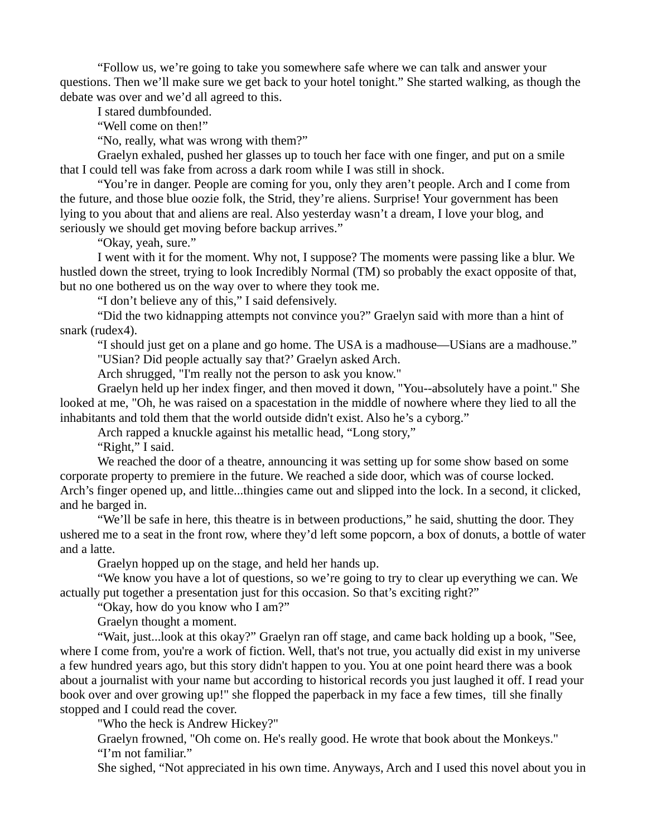"Follow us, we're going to take you somewhere safe where we can talk and answer your questions. Then we'll make sure we get back to your hotel tonight." She started walking, as though the debate was over and we'd all agreed to this.

I stared dumbfounded.

"Well come on then!"

"No, really, what was wrong with them?"

Graelyn exhaled, pushed her glasses up to touch her face with one finger, and put on a smile that I could tell was fake from across a dark room while I was still in shock.

"You're in danger. People are coming for you, only they aren't people. Arch and I come from the future, and those blue oozie folk, the Strid, they're aliens. Surprise! Your government has been lying to you about that and aliens are real. Also yesterday wasn't a dream, I love your blog, and seriously we should get moving before backup arrives."

"Okay, yeah, sure."

I went with it for the moment. Why not, I suppose? The moments were passing like a blur. We hustled down the street, trying to look Incredibly Normal (TM) so probably the exact opposite of that, but no one bothered us on the way over to where they took me.

"I don't believe any of this," I said defensively.

"Did the two kidnapping attempts not convince you?" Graelyn said with more than a hint of snark (rudex4).

"I should just get on a plane and go home. The USA is a madhouse—USians are a madhouse." "USian? Did people actually say that?' Graelyn asked Arch.

Arch shrugged, "I'm really not the person to ask you know."

Graelyn held up her index finger, and then moved it down, "You--absolutely have a point." She looked at me, "Oh, he was raised on a spacestation in the middle of nowhere where they lied to all the inhabitants and told them that the world outside didn't exist. Also he's a cyborg."

Arch rapped a knuckle against his metallic head, "Long story,"

"Right," I said.

We reached the door of a theatre, announcing it was setting up for some show based on some corporate property to premiere in the future. We reached a side door, which was of course locked. Arch's finger opened up, and little...thingies came out and slipped into the lock. In a second, it clicked, and he barged in.

"We'll be safe in here, this theatre is in between productions," he said, shutting the door. They ushered me to a seat in the front row, where they'd left some popcorn, a box of donuts, a bottle of water and a latte.

Graelyn hopped up on the stage, and held her hands up.

"We know you have a lot of questions, so we're going to try to clear up everything we can. We actually put together a presentation just for this occasion. So that's exciting right?"

"Okay, how do you know who I am?"

Graelyn thought a moment.

"Wait, just...look at this okay?" Graelyn ran off stage, and came back holding up a book, "See, where I come from, you're a work of fiction. Well, that's not true, you actually did exist in my universe a few hundred years ago, but this story didn't happen to you. You at one point heard there was a book about a journalist with your name but according to historical records you just laughed it off. I read your book over and over growing up!" she flopped the paperback in my face a few times, till she finally stopped and I could read the cover.

"Who the heck is Andrew Hickey?"

Graelyn frowned, "Oh come on. He's really good. He wrote that book about the Monkeys." "I'm not familiar."

She sighed, "Not appreciated in his own time. Anyways, Arch and I used this novel about you in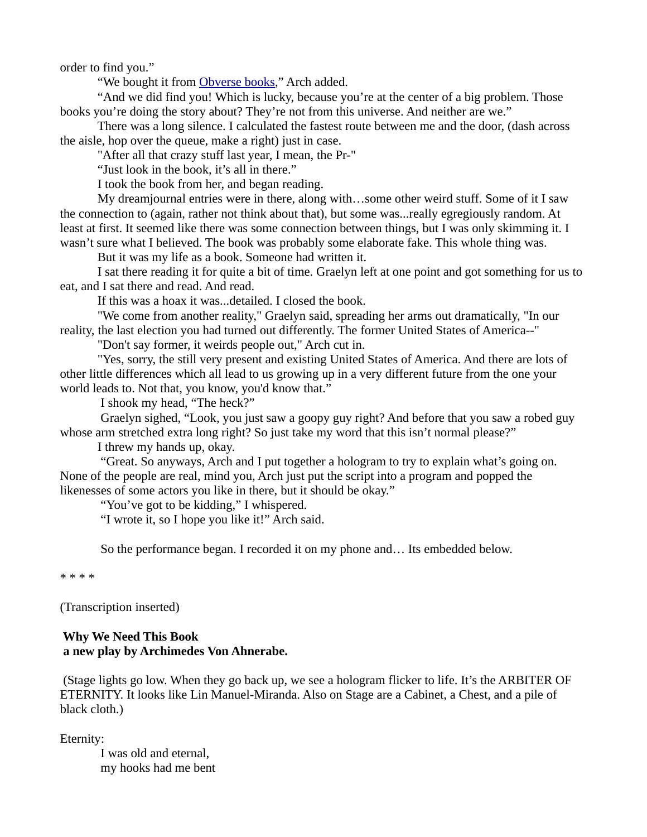order to find you."

"We bought it from [Obverse books,](http://obversebooks.co.uk/product-category/factionparadox/)" Arch added.

"And we did find you! Which is lucky, because you're at the center of a big problem. Those books you're doing the story about? They're not from this universe. And neither are we."

There was a long silence. I calculated the fastest route between me and the door, (dash across the aisle, hop over the queue, make a right) just in case.

"After all that crazy stuff last year, I mean, the Pr-"

"Just look in the book, it's all in there."

I took the book from her, and began reading.

My dreamjournal entries were in there, along with…some other weird stuff. Some of it I saw the connection to (again, rather not think about that), but some was...really egregiously random. At least at first. It seemed like there was some connection between things, but I was only skimming it. I wasn't sure what I believed. The book was probably some elaborate fake. This whole thing was.

But it was my life as a book. Someone had written it.

I sat there reading it for quite a bit of time. Graelyn left at one point and got something for us to eat, and I sat there and read. And read.

If this was a hoax it was...detailed. I closed the book.

"We come from another reality," Graelyn said, spreading her arms out dramatically, "In our reality, the last election you had turned out differently. The former United States of America--"

"Don't say former, it weirds people out," Arch cut in.

"Yes, sorry, the still very present and existing United States of America. And there are lots of other little differences which all lead to us growing up in a very different future from the one your world leads to. Not that, you know, you'd know that."

I shook my head, "The heck?"

 Graelyn sighed, "Look, you just saw a goopy guy right? And before that you saw a robed guy whose arm stretched extra long right? So just take my word that this isn't normal please?"

I threw my hands up, okay.

 "Great. So anyways, Arch and I put together a hologram to try to explain what's going on. None of the people are real, mind you, Arch just put the script into a program and popped the likenesses of some actors you like in there, but it should be okay."

"You've got to be kidding," I whispered.

"I wrote it, so I hope you like it!" Arch said.

So the performance began. I recorded it on my phone and… Its embedded below.

\* \* \* \*

(Transcription inserted)

# **Why We Need This Book a new play by Archimedes Von Ahnerabe.**

 (Stage lights go low. When they go back up, we see a hologram flicker to life. It's the ARBITER OF ETERNITY. It looks like Lin Manuel-Miranda. Also on Stage are a Cabinet, a Chest, and a pile of black cloth.)

Eternity:

 I was old and eternal, my hooks had me bent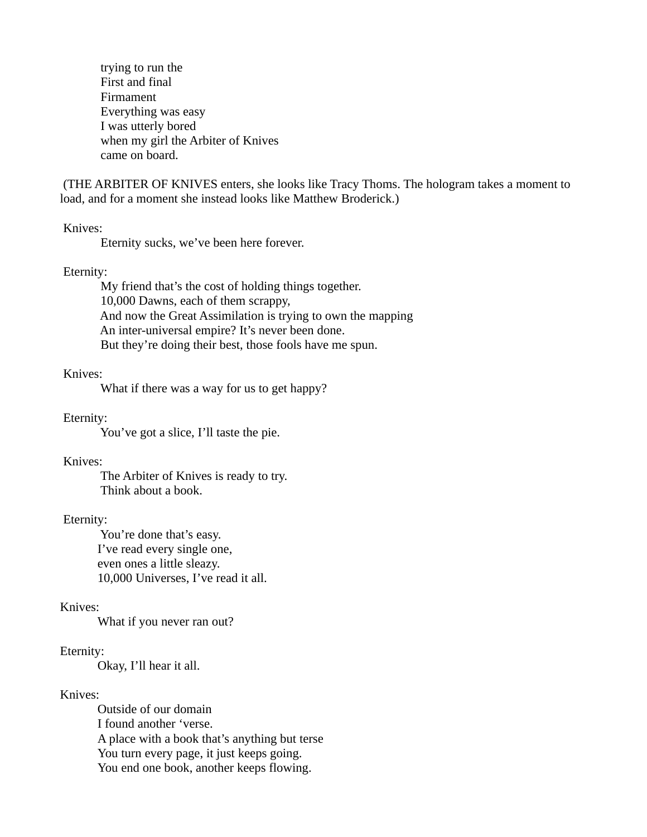trying to run the First and final Firmament Everything was easy I was utterly bored when my girl the Arbiter of Knives came on board.

 (THE ARBITER OF KNIVES enters, she looks like Tracy Thoms. The hologram takes a moment to load, and for a moment she instead looks like Matthew Broderick.)

#### Knives:

Eternity sucks, we've been here forever.

#### Eternity:

 My friend that's the cost of holding things together. 10,000 Dawns, each of them scrappy, And now the Great Assimilation is trying to own the mapping An inter-universal empire? It's never been done. But they're doing their best, those fools have me spun.

#### Knives:

What if there was a way for us to get happy?

Eternity:

You've got a slice, I'll taste the pie.

#### Knives:

 The Arbiter of Knives is ready to try. Think about a book.

#### Eternity:

 You're done that's easy. I've read every single one, even ones a little sleazy. 10,000 Universes, I've read it all.

# Knives:

What if you never ran out?

#### Eternity:

Okay, I'll hear it all.

#### Knives:

Outside of our domain I found another 'verse. A place with a book that's anything but terse You turn every page, it just keeps going. You end one book, another keeps flowing.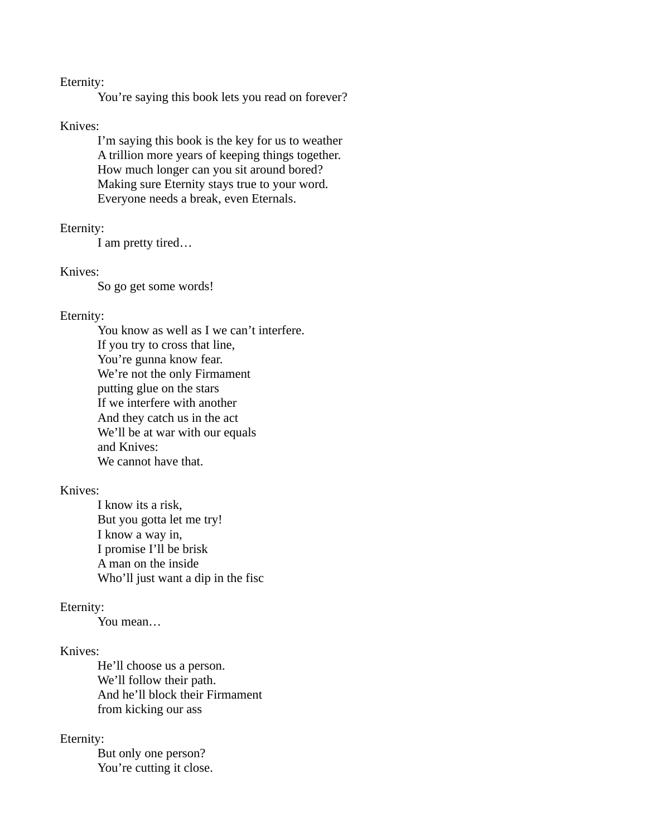# Eternity:

You're saying this book lets you read on forever?

#### Knives:

I'm saying this book is the key for us to weather A trillion more years of keeping things together. How much longer can you sit around bored? Making sure Eternity stays true to your word. Everyone needs a break, even Eternals.

#### Eternity:

I am pretty tired…

#### Knives:

So go get some words!

#### Eternity:

You know as well as I we can't interfere. If you try to cross that line, You're gunna know fear. We're not the only Firmament putting glue on the stars If we interfere with another And they catch us in the act We'll be at war with our equals and Knives: We cannot have that.

# Knives:

I know its a risk, But you gotta let me try! I know a way in, I promise I'll be brisk A man on the inside Who'll just want a dip in the fisc

# Eternity:

You mean…

# Knives:

He'll choose us a person. We'll follow their path. And he'll block their Firmament from kicking our ass

# Eternity:

But only one person? You're cutting it close.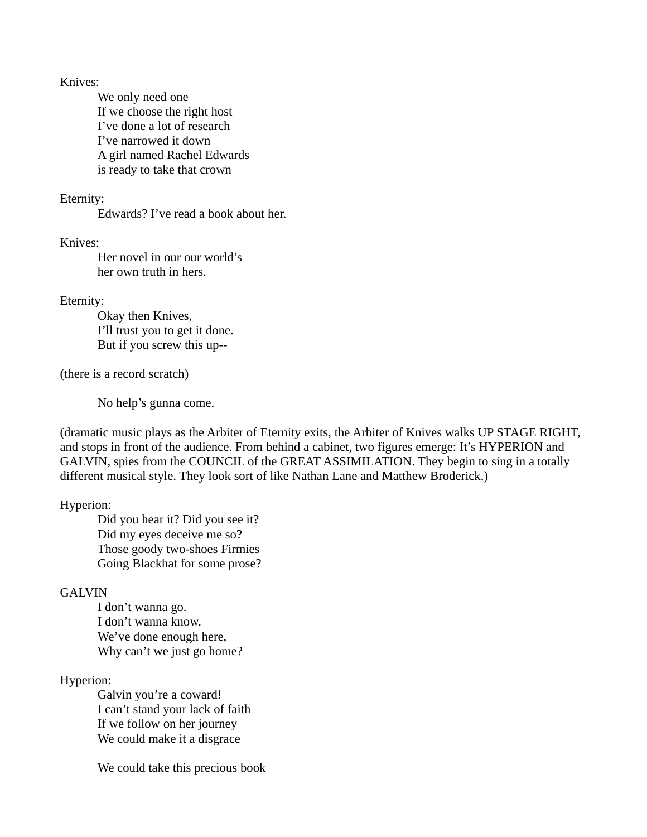Knives:

We only need one If we choose the right host I've done a lot of research I've narrowed it down A girl named Rachel Edwards is ready to take that crown

#### Eternity:

Edwards? I've read a book about her.

Knives:

Her novel in our our world's her own truth in hers.

#### Eternity:

Okay then Knives, I'll trust you to get it done. But if you screw this up--

(there is a record scratch)

No help's gunna come.

(dramatic music plays as the Arbiter of Eternity exits, the Arbiter of Knives walks UP STAGE RIGHT, and stops in front of the audience. From behind a cabinet, two figures emerge: It's HYPERION and GALVIN, spies from the COUNCIL of the GREAT ASSIMILATION. They begin to sing in a totally different musical style. They look sort of like Nathan Lane and Matthew Broderick.)

# Hyperion:

Did you hear it? Did you see it? Did my eyes deceive me so? Those goody two-shoes Firmies Going Blackhat for some prose?

# **GALVIN**

I don't wanna go. I don't wanna know. We've done enough here, Why can't we just go home?

# Hyperion:

Galvin you're a coward! I can't stand your lack of faith If we follow on her journey We could make it a disgrace

We could take this precious book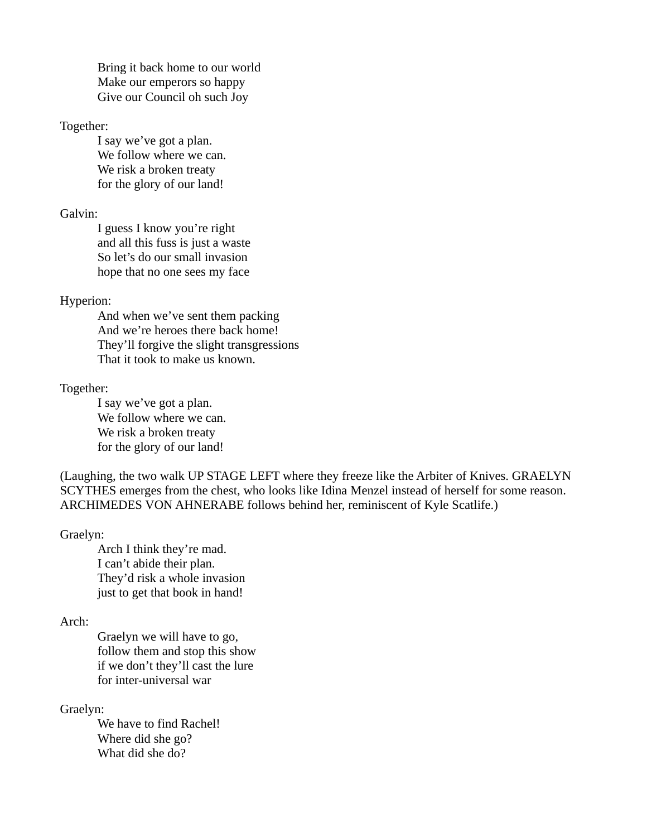Bring it back home to our world Make our emperors so happy Give our Council oh such Joy

#### Together:

I say we've got a plan. We follow where we can. We risk a broken treaty for the glory of our land!

#### Galvin:

I guess I know you're right and all this fuss is just a waste So let's do our small invasion hope that no one sees my face

#### Hyperion:

And when we've sent them packing And we're heroes there back home! They'll forgive the slight transgressions That it took to make us known.

#### Together:

I say we've got a plan. We follow where we can. We risk a broken treaty for the glory of our land!

(Laughing, the two walk UP STAGE LEFT where they freeze like the Arbiter of Knives. GRAELYN SCYTHES emerges from the chest, who looks like Idina Menzel instead of herself for some reason. ARCHIMEDES VON AHNERABE follows behind her, reminiscent of Kyle Scatlife.)

#### Graelyn:

Arch I think they're mad. I can't abide their plan. They'd risk a whole invasion just to get that book in hand!

# Arch:

Graelyn we will have to go, follow them and stop this show if we don't they'll cast the lure for inter-universal war

# Graelyn:

We have to find Rachel! Where did she go? What did she do?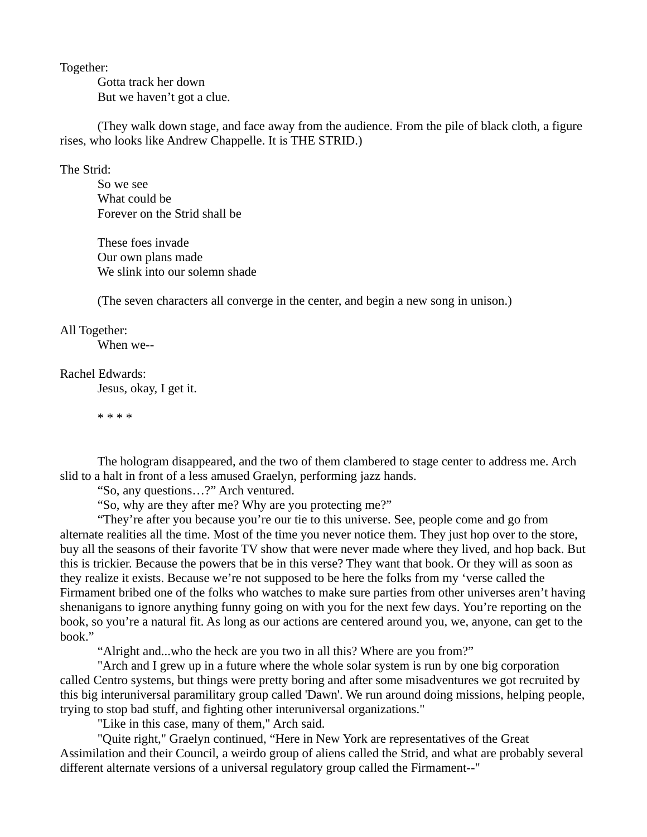Together:

Gotta track her down But we haven't got a clue.

(They walk down stage, and face away from the audience. From the pile of black cloth, a figure rises, who looks like Andrew Chappelle. It is THE STRID.)

The Strid:

So we see What could be Forever on the Strid shall be

These foes invade Our own plans made We slink into our solemn shade

(The seven characters all converge in the center, and begin a new song in unison.)

#### All Together:

When we--

## Rachel Edwards:

Jesus, okay, I get it.

\* \* \* \*

The hologram disappeared, and the two of them clambered to stage center to address me. Arch slid to a halt in front of a less amused Graelyn, performing jazz hands.

"So, any questions…?" Arch ventured.

"So, why are they after me? Why are you protecting me?"

"They're after you because you're our tie to this universe. See, people come and go from alternate realities all the time. Most of the time you never notice them. They just hop over to the store, buy all the seasons of their favorite TV show that were never made where they lived, and hop back. But this is trickier. Because the powers that be in this verse? They want that book. Or they will as soon as they realize it exists. Because we're not supposed to be here the folks from my 'verse called the Firmament bribed one of the folks who watches to make sure parties from other universes aren't having shenanigans to ignore anything funny going on with you for the next few days. You're reporting on the book, so you're a natural fit. As long as our actions are centered around you, we, anyone, can get to the book."

"Alright and...who the heck are you two in all this? Where are you from?"

"Arch and I grew up in a future where the whole solar system is run by one big corporation called Centro systems, but things were pretty boring and after some misadventures we got recruited by this big interuniversal paramilitary group called 'Dawn'. We run around doing missions, helping people, trying to stop bad stuff, and fighting other interuniversal organizations."

"Like in this case, many of them," Arch said.

"Quite right," Graelyn continued, "Here in New York are representatives of the Great Assimilation and their Council, a weirdo group of aliens called the Strid, and what are probably several different alternate versions of a universal regulatory group called the Firmament--"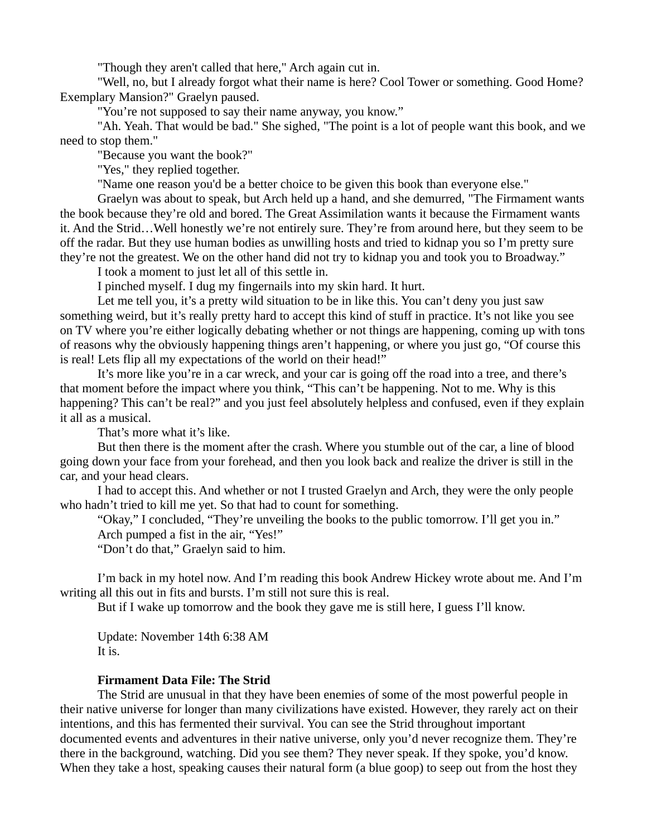"Though they aren't called that here," Arch again cut in.

"Well, no, but I already forgot what their name is here? Cool Tower or something. Good Home? Exemplary Mansion?" Graelyn paused.

"You're not supposed to say their name anyway, you know."

"Ah. Yeah. That would be bad." She sighed, "The point is a lot of people want this book, and we need to stop them."

"Because you want the book?"

"Yes," they replied together.

"Name one reason you'd be a better choice to be given this book than everyone else."

Graelyn was about to speak, but Arch held up a hand, and she demurred, "The Firmament wants the book because they're old and bored. The Great Assimilation wants it because the Firmament wants it. And the Strid…Well honestly we're not entirely sure. They're from around here, but they seem to be off the radar. But they use human bodies as unwilling hosts and tried to kidnap you so I'm pretty sure they're not the greatest. We on the other hand did not try to kidnap you and took you to Broadway."

I took a moment to just let all of this settle in.

I pinched myself. I dug my fingernails into my skin hard. It hurt.

Let me tell you, it's a pretty wild situation to be in like this. You can't deny you just saw something weird, but it's really pretty hard to accept this kind of stuff in practice. It's not like you see on TV where you're either logically debating whether or not things are happening, coming up with tons of reasons why the obviously happening things aren't happening, or where you just go, "Of course this is real! Lets flip all my expectations of the world on their head!"

It's more like you're in a car wreck, and your car is going off the road into a tree, and there's that moment before the impact where you think, "This can't be happening. Not to me. Why is this happening? This can't be real?" and you just feel absolutely helpless and confused, even if they explain it all as a musical.

That's more what it's like.

But then there is the moment after the crash. Where you stumble out of the car, a line of blood going down your face from your forehead, and then you look back and realize the driver is still in the car, and your head clears.

I had to accept this. And whether or not I trusted Graelyn and Arch, they were the only people who hadn't tried to kill me yet. So that had to count for something.

"Okay," I concluded, "They're unveiling the books to the public tomorrow. I'll get you in." Arch pumped a fist in the air, "Yes!"

"Don't do that," Graelyn said to him.

I'm back in my hotel now. And I'm reading this book Andrew Hickey wrote about me. And I'm writing all this out in fits and bursts. I'm still not sure this is real.

But if I wake up tomorrow and the book they gave me is still here, I guess I'll know.

Update: November 14th 6:38 AM It is.

# **Firmament Data File: The Strid**

The Strid are unusual in that they have been enemies of some of the most powerful people in their native universe for longer than many civilizations have existed. However, they rarely act on their intentions, and this has fermented their survival. You can see the Strid throughout important documented events and adventures in their native universe, only you'd never recognize them. They're there in the background, watching. Did you see them? They never speak. If they spoke, you'd know. When they take a host, speaking causes their natural form (a blue goop) to seep out from the host they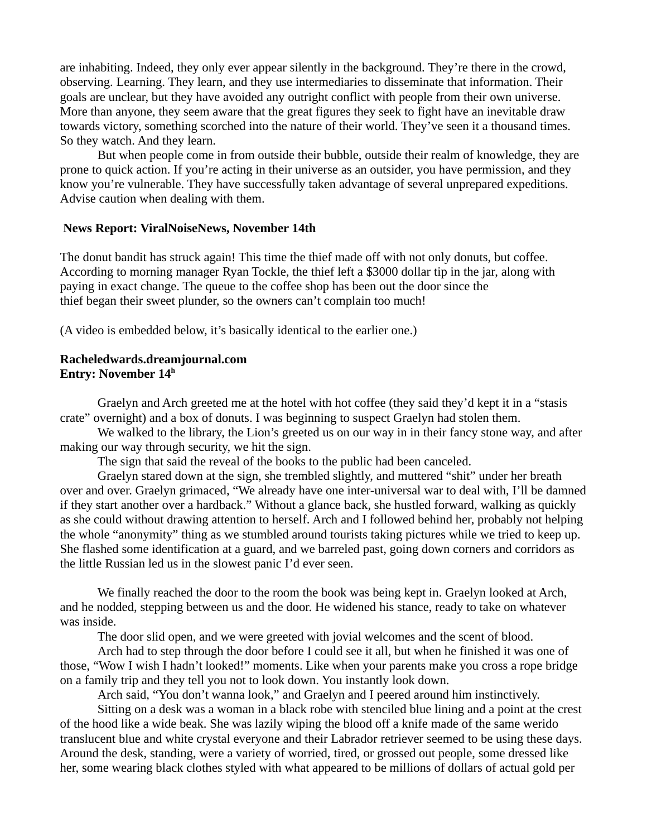are inhabiting. Indeed, they only ever appear silently in the background. They're there in the crowd, observing. Learning. They learn, and they use intermediaries to disseminate that information. Their goals are unclear, but they have avoided any outright conflict with people from their own universe. More than anyone, they seem aware that the great figures they seek to fight have an inevitable draw towards victory, something scorched into the nature of their world. They've seen it a thousand times. So they watch. And they learn.

But when people come in from outside their bubble, outside their realm of knowledge, they are prone to quick action. If you're acting in their universe as an outsider, you have permission, and they know you're vulnerable. They have successfully taken advantage of several unprepared expeditions. Advise caution when dealing with them.

#### **News Report: ViralNoiseNews, November 14th**

The donut bandit has struck again! This time the thief made off with not only donuts, but coffee. According to morning manager Ryan Tockle, the thief left a \$3000 dollar tip in the jar, along with paying in exact change. The queue to the coffee shop has been out the door since the thief began their sweet plunder, so the owners can't complain too much!

(A video is embedded below, it's basically identical to the earlier one.)

# **Racheledwards.dreamjournal.com Entry: November 14<sup>h</sup>**

Graelyn and Arch greeted me at the hotel with hot coffee (they said they'd kept it in a "stasis crate" overnight) and a box of donuts. I was beginning to suspect Graelyn had stolen them.

We walked to the library, the Lion's greeted us on our way in in their fancy stone way, and after making our way through security, we hit the sign.

The sign that said the reveal of the books to the public had been canceled.

Graelyn stared down at the sign, she trembled slightly, and muttered "shit" under her breath over and over. Graelyn grimaced, "We already have one inter-universal war to deal with, I'll be damned if they start another over a hardback." Without a glance back, she hustled forward, walking as quickly as she could without drawing attention to herself. Arch and I followed behind her, probably not helping the whole "anonymity" thing as we stumbled around tourists taking pictures while we tried to keep up. She flashed some identification at a guard, and we barreled past, going down corners and corridors as the little Russian led us in the slowest panic I'd ever seen.

We finally reached the door to the room the book was being kept in. Graelyn looked at Arch, and he nodded, stepping between us and the door. He widened his stance, ready to take on whatever was inside.

The door slid open, and we were greeted with jovial welcomes and the scent of blood.

Arch had to step through the door before I could see it all, but when he finished it was one of those, "Wow I wish I hadn't looked!" moments. Like when your parents make you cross a rope bridge on a family trip and they tell you not to look down. You instantly look down.

Arch said, "You don't wanna look," and Graelyn and I peered around him instinctively.

Sitting on a desk was a woman in a black robe with stenciled blue lining and a point at the crest of the hood like a wide beak. She was lazily wiping the blood off a knife made of the same werido translucent blue and white crystal everyone and their Labrador retriever seemed to be using these days. Around the desk, standing, were a variety of worried, tired, or grossed out people, some dressed like her, some wearing black clothes styled with what appeared to be millions of dollars of actual gold per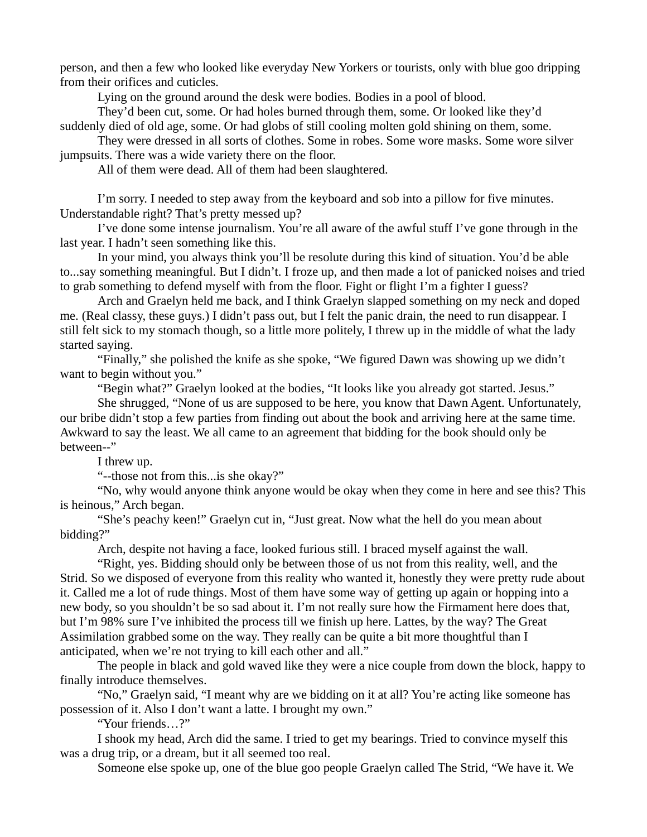person, and then a few who looked like everyday New Yorkers or tourists, only with blue goo dripping from their orifices and cuticles.

Lying on the ground around the desk were bodies. Bodies in a pool of blood.

They'd been cut, some. Or had holes burned through them, some. Or looked like they'd suddenly died of old age, some. Or had globs of still cooling molten gold shining on them, some.

They were dressed in all sorts of clothes. Some in robes. Some wore masks. Some wore silver jumpsuits. There was a wide variety there on the floor.

All of them were dead. All of them had been slaughtered.

I'm sorry. I needed to step away from the keyboard and sob into a pillow for five minutes. Understandable right? That's pretty messed up?

I've done some intense journalism. You're all aware of the awful stuff I've gone through in the last year. I hadn't seen something like this.

In your mind, you always think you'll be resolute during this kind of situation. You'd be able to...say something meaningful. But I didn't. I froze up, and then made a lot of panicked noises and tried to grab something to defend myself with from the floor. Fight or flight I'm a fighter I guess?

Arch and Graelyn held me back, and I think Graelyn slapped something on my neck and doped me. (Real classy, these guys.) I didn't pass out, but I felt the panic drain, the need to run disappear. I still felt sick to my stomach though, so a little more politely, I threw up in the middle of what the lady started saying.

"Finally," she polished the knife as she spoke, "We figured Dawn was showing up we didn't want to begin without you."

"Begin what?" Graelyn looked at the bodies, "It looks like you already got started. Jesus."

She shrugged, "None of us are supposed to be here, you know that Dawn Agent. Unfortunately, our bribe didn't stop a few parties from finding out about the book and arriving here at the same time. Awkward to say the least. We all came to an agreement that bidding for the book should only be between--"

I threw up.

"--those not from this...is she okay?"

"No, why would anyone think anyone would be okay when they come in here and see this? This is heinous," Arch began.

"She's peachy keen!" Graelyn cut in, "Just great. Now what the hell do you mean about bidding?"

Arch, despite not having a face, looked furious still. I braced myself against the wall.

"Right, yes. Bidding should only be between those of us not from this reality, well, and the Strid. So we disposed of everyone from this reality who wanted it, honestly they were pretty rude about it. Called me a lot of rude things. Most of them have some way of getting up again or hopping into a new body, so you shouldn't be so sad about it. I'm not really sure how the Firmament here does that, but I'm 98% sure I've inhibited the process till we finish up here. Lattes, by the way? The Great Assimilation grabbed some on the way. They really can be quite a bit more thoughtful than I anticipated, when we're not trying to kill each other and all."

The people in black and gold waved like they were a nice couple from down the block, happy to finally introduce themselves.

"No," Graelyn said, "I meant why are we bidding on it at all? You're acting like someone has possession of it. Also I don't want a latte. I brought my own."

"Your friends…?"

I shook my head, Arch did the same. I tried to get my bearings. Tried to convince myself this was a drug trip, or a dream, but it all seemed too real.

Someone else spoke up, one of the blue goo people Graelyn called The Strid, "We have it. We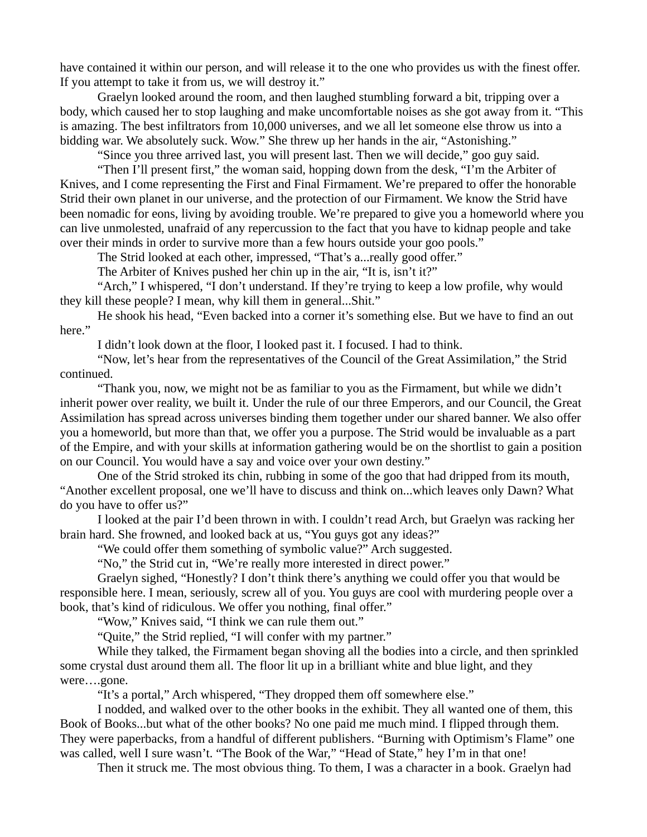have contained it within our person, and will release it to the one who provides us with the finest offer. If you attempt to take it from us, we will destroy it."

Graelyn looked around the room, and then laughed stumbling forward a bit, tripping over a body, which caused her to stop laughing and make uncomfortable noises as she got away from it. "This is amazing. The best infiltrators from 10,000 universes, and we all let someone else throw us into a bidding war. We absolutely suck. Wow." She threw up her hands in the air, "Astonishing."

"Since you three arrived last, you will present last. Then we will decide," goo guy said.

"Then I'll present first," the woman said, hopping down from the desk, "I'm the Arbiter of Knives, and I come representing the First and Final Firmament. We're prepared to offer the honorable Strid their own planet in our universe, and the protection of our Firmament. We know the Strid have been nomadic for eons, living by avoiding trouble. We're prepared to give you a homeworld where you can live unmolested, unafraid of any repercussion to the fact that you have to kidnap people and take over their minds in order to survive more than a few hours outside your goo pools."

The Strid looked at each other, impressed, "That's a...really good offer."

The Arbiter of Knives pushed her chin up in the air, "It is, isn't it?"

"Arch," I whispered, "I don't understand. If they're trying to keep a low profile, why would they kill these people? I mean, why kill them in general...Shit."

He shook his head, "Even backed into a corner it's something else. But we have to find an out here."

I didn't look down at the floor, I looked past it. I focused. I had to think.

"Now, let's hear from the representatives of the Council of the Great Assimilation," the Strid continued.

"Thank you, now, we might not be as familiar to you as the Firmament, but while we didn't inherit power over reality, we built it. Under the rule of our three Emperors, and our Council, the Great Assimilation has spread across universes binding them together under our shared banner. We also offer you a homeworld, but more than that, we offer you a purpose. The Strid would be invaluable as a part of the Empire, and with your skills at information gathering would be on the shortlist to gain a position on our Council. You would have a say and voice over your own destiny."

One of the Strid stroked its chin, rubbing in some of the goo that had dripped from its mouth, "Another excellent proposal, one we'll have to discuss and think on...which leaves only Dawn? What do you have to offer us?"

I looked at the pair I'd been thrown in with. I couldn't read Arch, but Graelyn was racking her brain hard. She frowned, and looked back at us, "You guys got any ideas?"

"We could offer them something of symbolic value?" Arch suggested.

"No," the Strid cut in, "We're really more interested in direct power."

Graelyn sighed, "Honestly? I don't think there's anything we could offer you that would be responsible here. I mean, seriously, screw all of you. You guys are cool with murdering people over a book, that's kind of ridiculous. We offer you nothing, final offer."

"Wow," Knives said, "I think we can rule them out."

"Quite," the Strid replied, "I will confer with my partner."

While they talked, the Firmament began shoving all the bodies into a circle, and then sprinkled some crystal dust around them all. The floor lit up in a brilliant white and blue light, and they were….gone.

"It's a portal," Arch whispered, "They dropped them off somewhere else."

I nodded, and walked over to the other books in the exhibit. They all wanted one of them, this Book of Books...but what of the other books? No one paid me much mind. I flipped through them. They were paperbacks, from a handful of different publishers. "Burning with Optimism's Flame" one was called, well I sure wasn't. "The Book of the War," "Head of State," hey I'm in that one!

Then it struck me. The most obvious thing. To them, I was a character in a book. Graelyn had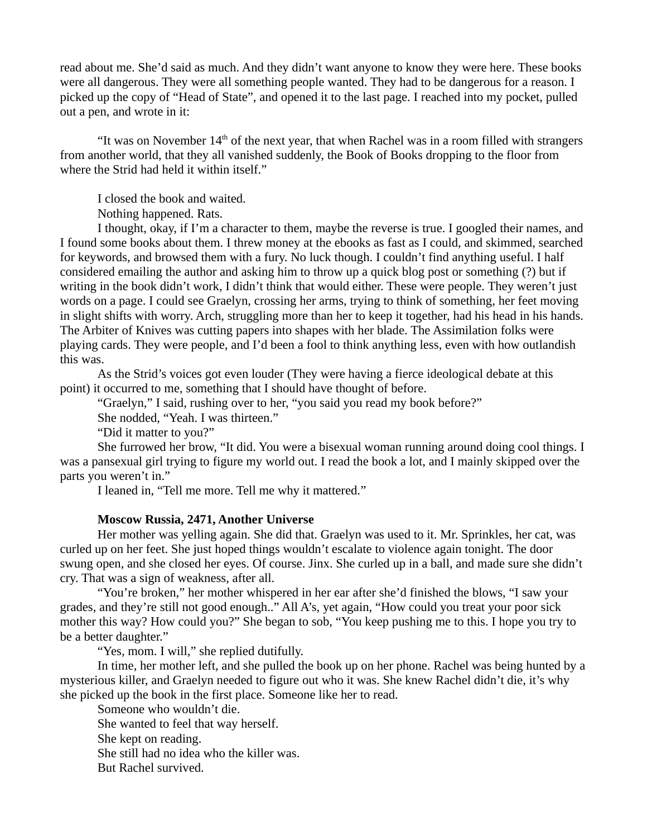read about me. She'd said as much. And they didn't want anyone to know they were here. These books were all dangerous. They were all something people wanted. They had to be dangerous for a reason. I picked up the copy of "Head of State", and opened it to the last page. I reached into my pocket, pulled out a pen, and wrote in it:

"It was on November  $14<sup>th</sup>$  of the next year, that when Rachel was in a room filled with strangers from another world, that they all vanished suddenly, the Book of Books dropping to the floor from where the Strid had held it within itself."

I closed the book and waited.

Nothing happened. Rats.

I thought, okay, if I'm a character to them, maybe the reverse is true. I googled their names, and I found some books about them. I threw money at the ebooks as fast as I could, and skimmed, searched for keywords, and browsed them with a fury. No luck though. I couldn't find anything useful. I half considered emailing the author and asking him to throw up a quick blog post or something (?) but if writing in the book didn't work, I didn't think that would either. These were people. They weren't just words on a page. I could see Graelyn, crossing her arms, trying to think of something, her feet moving in slight shifts with worry. Arch, struggling more than her to keep it together, had his head in his hands. The Arbiter of Knives was cutting papers into shapes with her blade. The Assimilation folks were playing cards. They were people, and I'd been a fool to think anything less, even with how outlandish this was.

As the Strid's voices got even louder (They were having a fierce ideological debate at this point) it occurred to me, something that I should have thought of before.

"Graelyn," I said, rushing over to her, "you said you read my book before?"

She nodded, "Yeah. I was thirteen."

"Did it matter to you?"

She furrowed her brow, "It did. You were a bisexual woman running around doing cool things. I was a pansexual girl trying to figure my world out. I read the book a lot, and I mainly skipped over the parts you weren't in."

I leaned in, "Tell me more. Tell me why it mattered."

#### **Moscow Russia, 2471, Another Universe**

Her mother was yelling again. She did that. Graelyn was used to it. Mr. Sprinkles, her cat, was curled up on her feet. She just hoped things wouldn't escalate to violence again tonight. The door swung open, and she closed her eyes. Of course. Jinx. She curled up in a ball, and made sure she didn't cry. That was a sign of weakness, after all.

"You're broken," her mother whispered in her ear after she'd finished the blows, "I saw your grades, and they're still not good enough.." All A's, yet again, "How could you treat your poor sick mother this way? How could you?" She began to sob, "You keep pushing me to this. I hope you try to be a better daughter."

"Yes, mom. I will," she replied dutifully.

In time, her mother left, and she pulled the book up on her phone. Rachel was being hunted by a mysterious killer, and Graelyn needed to figure out who it was. She knew Rachel didn't die, it's why she picked up the book in the first place. Someone like her to read.

Someone who wouldn't die. She wanted to feel that way herself. She kept on reading. She still had no idea who the killer was. But Rachel survived.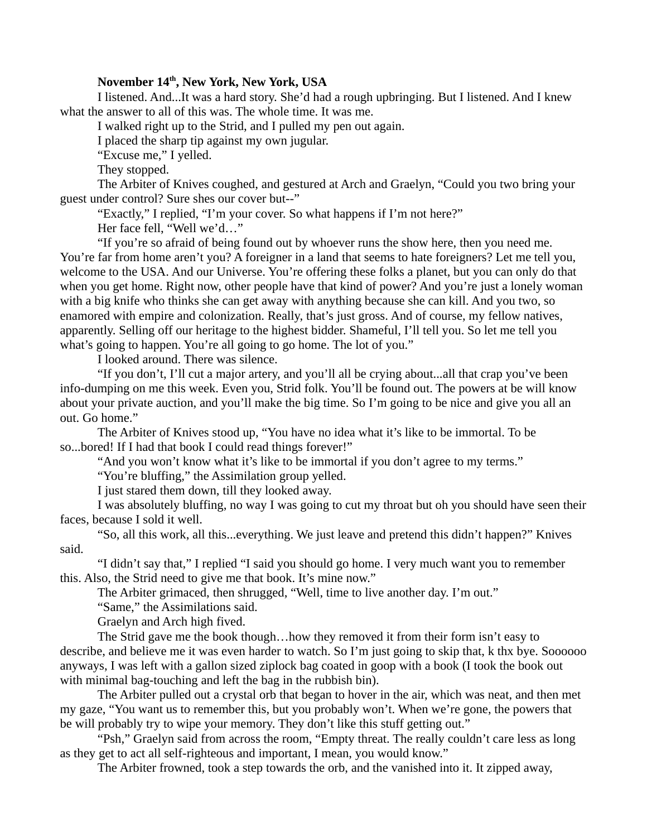# **November 14th, New York, New York, USA**

I listened. And...It was a hard story. She'd had a rough upbringing. But I listened. And I knew what the answer to all of this was. The whole time. It was me.

I walked right up to the Strid, and I pulled my pen out again.

I placed the sharp tip against my own jugular.

"Excuse me," I yelled.

They stopped.

The Arbiter of Knives coughed, and gestured at Arch and Graelyn, "Could you two bring your guest under control? Sure shes our cover but--"

"Exactly," I replied, "I'm your cover. So what happens if I'm not here?"

Her face fell, "Well we'd…"

"If you're so afraid of being found out by whoever runs the show here, then you need me. You're far from home aren't you? A foreigner in a land that seems to hate foreigners? Let me tell you, welcome to the USA. And our Universe. You're offering these folks a planet, but you can only do that when you get home. Right now, other people have that kind of power? And you're just a lonely woman with a big knife who thinks she can get away with anything because she can kill. And you two, so enamored with empire and colonization. Really, that's just gross. And of course, my fellow natives, apparently. Selling off our heritage to the highest bidder. Shameful, I'll tell you. So let me tell you what's going to happen. You're all going to go home. The lot of you."

I looked around. There was silence.

"If you don't, I'll cut a major artery, and you'll all be crying about...all that crap you've been info-dumping on me this week. Even you, Strid folk. You'll be found out. The powers at be will know about your private auction, and you'll make the big time. So I'm going to be nice and give you all an out. Go home."

The Arbiter of Knives stood up, "You have no idea what it's like to be immortal. To be so...bored! If I had that book I could read things forever!"

"And you won't know what it's like to be immortal if you don't agree to my terms."

"You're bluffing," the Assimilation group yelled.

I just stared them down, till they looked away.

I was absolutely bluffing, no way I was going to cut my throat but oh you should have seen their faces, because I sold it well.

"So, all this work, all this...everything. We just leave and pretend this didn't happen?" Knives said.

"I didn't say that," I replied "I said you should go home. I very much want you to remember this. Also, the Strid need to give me that book. It's mine now."

The Arbiter grimaced, then shrugged, "Well, time to live another day. I'm out."

"Same," the Assimilations said.

Graelyn and Arch high fived.

The Strid gave me the book though…how they removed it from their form isn't easy to describe, and believe me it was even harder to watch. So I'm just going to skip that, k thx bye. Soooooo anyways, I was left with a gallon sized ziplock bag coated in goop with a book (I took the book out with minimal bag-touching and left the bag in the rubbish bin).

The Arbiter pulled out a crystal orb that began to hover in the air, which was neat, and then met my gaze, "You want us to remember this, but you probably won't. When we're gone, the powers that be will probably try to wipe your memory. They don't like this stuff getting out."

"Psh," Graelyn said from across the room, "Empty threat. The really couldn't care less as long as they get to act all self-righteous and important, I mean, you would know."

The Arbiter frowned, took a step towards the orb, and the vanished into it. It zipped away,